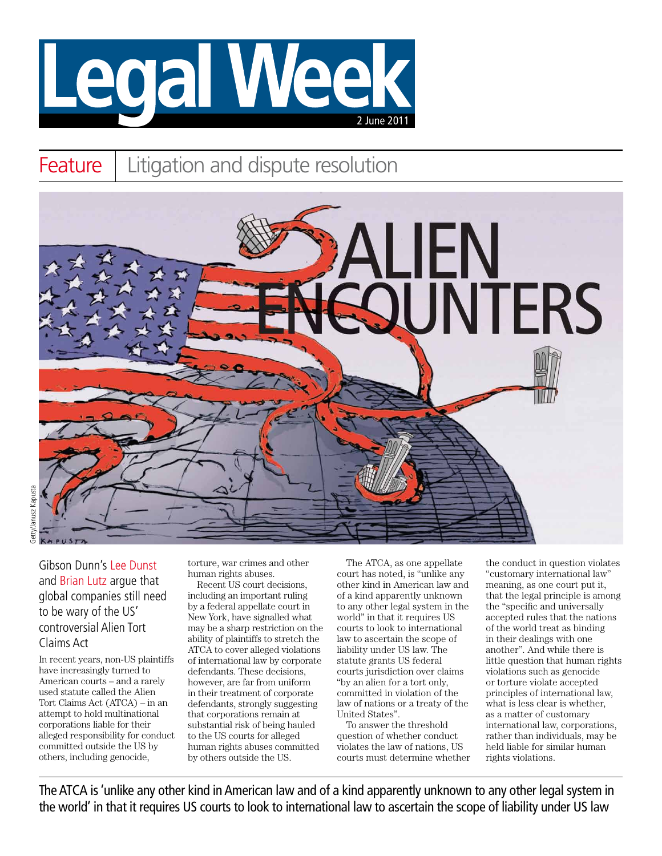

## Feature | Litigation and dispute resolution



Gibson Dunn's Lee Dunst and Brian Lutz argue that global companies still need to be wary of the US' controversial Alien Tort Claims Act

In recent years, non-US plaintiffs have increasingly turned to American courts – and a rarely used statute called the Alien Tort Claims Act (ATCA) – in an attempt to hold multinational corporations liable for their alleged responsibility for conduct committed outside the US by others, including genocide,

torture, war crimes and other human rights abuses.

Recent US court decisions, including an important ruling by a federal appellate court in New York, have signalled what may be a sharp restriction on the ability of plaintiffs to stretch the ATCA to cover alleged violations of international law by corporate defendants. These decisions, however, are far from uniform in their treatment of corporate defendants, strongly suggesting that corporations remain at substantial risk of being hauled to the US courts for alleged human rights abuses committed by others outside the US.

The ATCA, as one appellate court has noted, is "unlike any other kind in American law and of a kind apparently unknown to any other legal system in the world" in that it requires US courts to look to international law to ascertain the scope of liability under US law. The statute grants US federal courts jurisdiction over claims "by an alien for a tort only, committed in violation of the law of nations or a treaty of the United States".

To answer the threshold question of whether conduct violates the law of nations, US courts must determine whether the conduct in question violates "customary international law" meaning, as one court put it, that the legal principle is among the "specific and universally accepted rules that the nations of the world treat as binding in their dealings with one another". And while there is little question that human rights violations such as genocide or torture violate accepted principles of international law, what is less clear is whether, as a matter of customary international law, corporations, rather than individuals, may be held liable for similar human rights violations.

The ATCA is 'unlike any other kind in American law and of a kind apparently unknown to any other legal system in the world' in that it requires US courts to look to international law to ascertain the scope of liability under US law